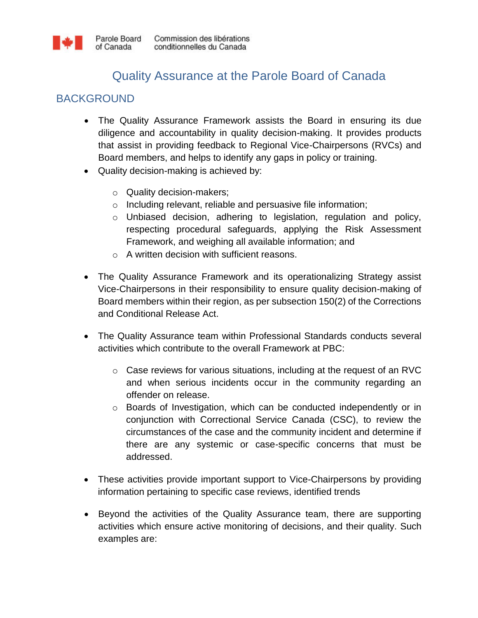## Quality Assurance at the Parole Board of Canada

## BACKGROUND

- The Quality Assurance Framework assists the Board in ensuring its due diligence and accountability in quality decision-making. It provides products that assist in providing feedback to Regional Vice-Chairpersons (RVCs) and Board members, and helps to identify any gaps in policy or training.
- Quality decision-making is achieved by:
	- o Quality decision-makers;
	- o Including relevant, reliable and persuasive file information;
	- $\circ$  Unbiased decision, adhering to legislation, regulation and policy, respecting procedural safeguards, applying the Risk Assessment Framework, and weighing all available information; and
	- o A written decision with sufficient reasons.
- The Quality Assurance Framework and its operationalizing Strategy assist Vice-Chairpersons in their responsibility to ensure quality decision-making of Board members within their region, as per subsection 150(2) of the Corrections and Conditional Release Act.
- The Quality Assurance team within Professional Standards conducts several activities which contribute to the overall Framework at PBC:
	- $\circ$  Case reviews for various situations, including at the request of an RVC and when serious incidents occur in the community regarding an offender on release.
	- o Boards of Investigation, which can be conducted independently or in conjunction with Correctional Service Canada (CSC), to review the circumstances of the case and the community incident and determine if there are any systemic or case-specific concerns that must be addressed.
- These activities provide important support to Vice-Chairpersons by providing information pertaining to specific case reviews, identified trends
- Beyond the activities of the Quality Assurance team, there are supporting activities which ensure active monitoring of decisions, and their quality. Such examples are: